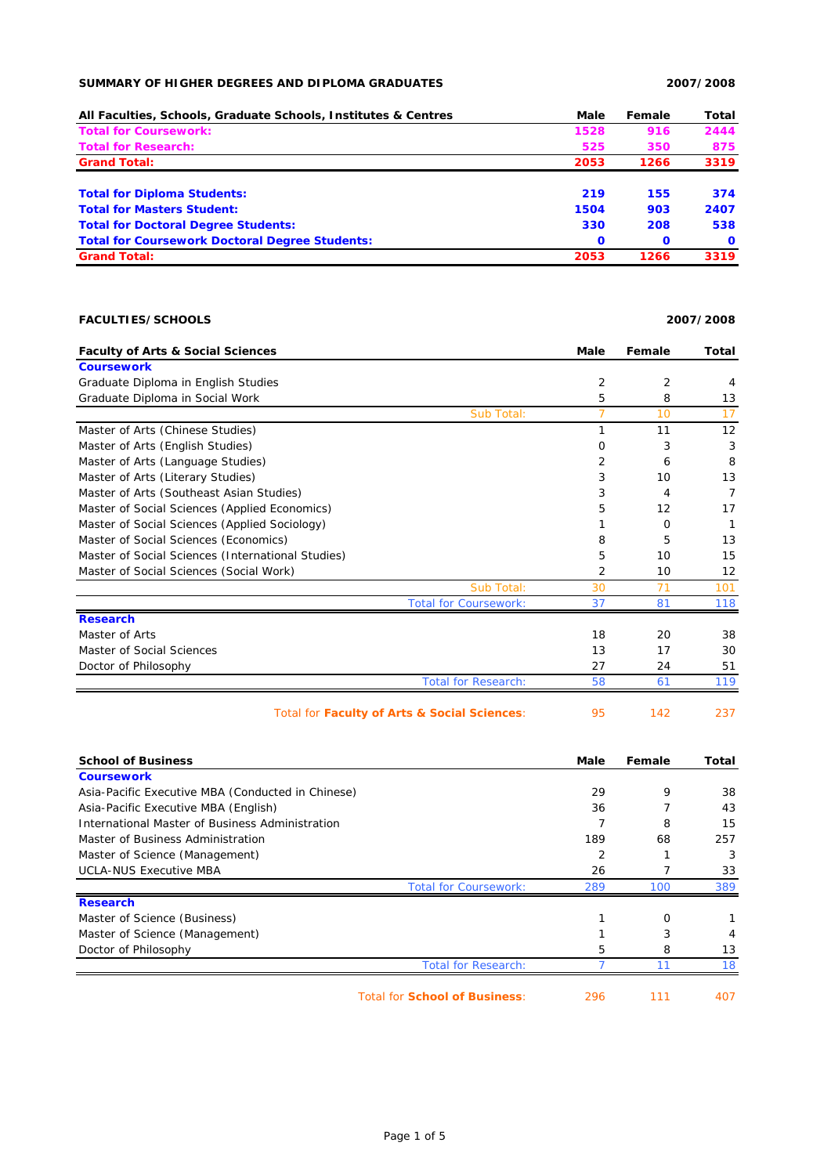## **SUMMARY OF HIGHER DEGREES AND DIPLOMA GRADUATES 2007/2008**

| All Faculties, Schools, Graduate Schools, Institutes & Centres | Male        | Female       | Total        |
|----------------------------------------------------------------|-------------|--------------|--------------|
| <b>Total for Coursework:</b>                                   | 1528        | 916          | 2444         |
| <b>Total for Research:</b>                                     | 525         | 350          | 875          |
| <b>Grand Total:</b>                                            | 2053        | 1266         | 3319         |
| <b>Total for Diploma Students:</b>                             | 219         | 155          | 374          |
| <b>Total for Masters Student:</b>                              | 1504        | 903          | 2407         |
| <b>Total for Doctoral Degree Students:</b>                     | 330         | 208          | 538          |
| <b>Total for Coursework Doctoral Degree Students:</b>          | $\mathbf 0$ | $\mathbf{o}$ | $\mathbf{o}$ |
| <b>Grand Total:</b>                                            | 2053        | 1266         | 3319         |

## **FACULTIES/SCHOOLS 2007/2008**

**Faculty of Arts & Social Sciences Male Female Total Coursework** Graduate Diploma in English Studies 2 2 4 Graduate Diploma in Social Work 5 8 13 Sub Total: 7 10 17 Master of Arts (Chinese Studies) 1 1 12 12 Master of Arts (English Studies) 0 3 3 Master of Arts (Language Studies) 2 6 8 8 Master of Arts (Literary Studies) 3 10 13 Master of Arts (Southeast Asian Studies) 3 4 7 7 Master of Social Sciences (Applied Economics) 6 12 17 Master of Social Sciences (Applied Sociology) 1 0 1 Master of Social Sciences (Economics) 8 5 13 Master of Social Sciences (International Studies) 10 15 10 15 Master of Social Sciences (Social Work) 2 10 12 vub Total: 30 71 101 Total for Coursework: 37 81 118 **Research** Master of Arts 20 38 20 38 Master of Social Sciences 20 17 17 30 Doctor of Philosophy 27 24 51 Total for Research: 58 61 119 Total for **Faculty of Arts & Social Sciences**: 95 142 237

| <b>School of Business</b>                         |                                      | Male | Female | Total |
|---------------------------------------------------|--------------------------------------|------|--------|-------|
| <b>Coursework</b>                                 |                                      |      |        |       |
| Asia-Pacific Executive MBA (Conducted in Chinese) |                                      | 29   | 9      | 38    |
| Asia-Pacific Executive MBA (English)              |                                      | 36   |        | 43    |
| International Master of Business Administration   |                                      |      | 8      | 15    |
| Master of Business Administration                 |                                      | 189  | 68     | 257   |
| Master of Science (Management)                    |                                      | 2    |        | 3     |
| <b>UCLA-NUS Executive MBA</b>                     |                                      | 26   |        | 33    |
|                                                   | <b>Total for Coursework:</b>         | 289  | 100    | 389   |
| <b>Research</b>                                   |                                      |      |        |       |
| Master of Science (Business)                      |                                      |      | O      |       |
| Master of Science (Management)                    |                                      |      | 3      | 4     |
| Doctor of Philosophy                              |                                      | 5    | 8      | 13    |
|                                                   | <b>Total for Research:</b>           |      |        | 18    |
|                                                   | <b>Total for School of Business:</b> | 296  | 111    | 407   |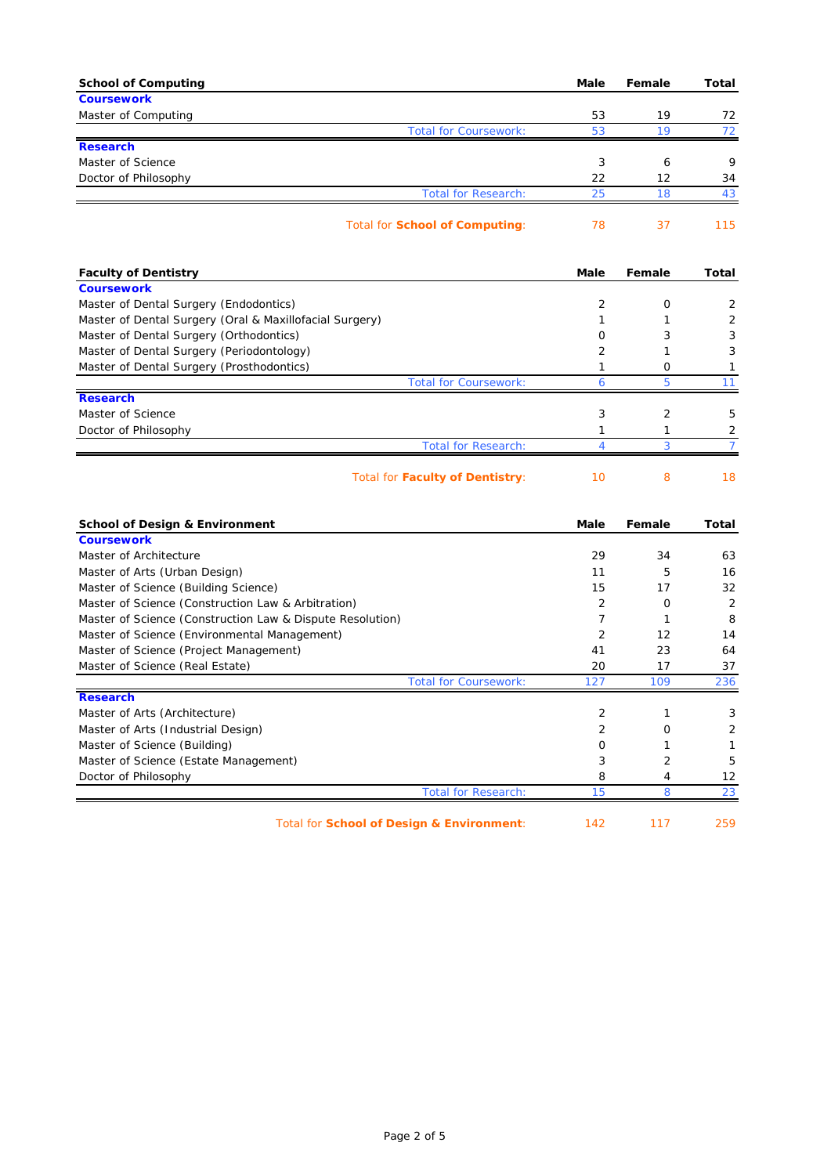| <b>School of Computing</b>                                | Male           | Female | Total          |
|-----------------------------------------------------------|----------------|--------|----------------|
| <b>Coursework</b>                                         |                |        |                |
| Master of Computing                                       | 53             | 19     | 72             |
| <b>Total for Coursework:</b>                              | 53             | 19     | 72             |
| <b>Research</b>                                           |                |        |                |
| Master of Science                                         | 3              | 6      | 9              |
| Doctor of Philosophy                                      | 22             | 12     | 34             |
| <b>Total for Research:</b>                                | 25             | 18     | 43             |
| <b>Total for School of Computing:</b>                     | 78             | 37     | 115            |
| <b>Faculty of Dentistry</b>                               | Male           | Female | Total          |
| <b>Coursework</b>                                         |                |        |                |
| Master of Dental Surgery (Endodontics)                    | 2              | 0      | 2              |
| Master of Dental Surgery (Oral & Maxillofacial Surgery)   | 1              | 1      | 2              |
| Master of Dental Surgery (Orthodontics)                   | 0              | 3      | 3              |
| Master of Dental Surgery (Periodontology)                 | 2              | 1      | 3              |
| Master of Dental Surgery (Prosthodontics)                 | 1              | 0      | 1              |
| <b>Total for Coursework:</b>                              | 6              | 5      | 11             |
| <b>Research</b>                                           |                |        |                |
| Master of Science                                         | 3              | 2      | 5              |
| Doctor of Philosophy                                      | 1              | 1      | 2              |
| <b>Total for Research:</b>                                | 4              | 3      | $\overline{7}$ |
| <b>Total for Faculty of Dentistry:</b>                    | 10             | 8      | 18             |
| <b>School of Design &amp; Environment</b>                 | Male           | Female | Total          |
| <b>Coursework</b>                                         |                |        |                |
| Master of Architecture                                    | 29             | 34     | 63             |
| Master of Arts (Urban Design)                             | 11             | 5      | 16             |
| Master of Science (Building Science)                      | 15             | 17     | 32             |
| Master of Science (Construction Law & Arbitration)        | $\overline{2}$ | 0      | $\overline{2}$ |
| Master of Science (Construction Law & Dispute Resolution) | 7              | 1      | 8              |
| Master of Science (Environmental Management)              | 2              | 12     | 14             |
| Master of Science (Project Management)                    | 41             | 23     | 64             |
| Master of Science (Real Estate)                           | 20             | 17     | 37             |
| <b>Total for Coursework:</b>                              | 127            | 109    | 236            |
| <b>Research</b>                                           |                |        |                |
| Master of Arts (Architecture)                             | 2              | 1      | 3              |
| Master of Arts (Industrial Design)                        | $\overline{2}$ | O      | 2              |
| Master of Science (Building)                              | 0              | 1      | 1              |
| Master of Science (Estate Management)                     | 3              | 2      | 5              |
| Doctor of Philosophy                                      | 8              | 4      | 12<br>23       |
| <b>Total for Research:</b>                                | 15             | 8      |                |

Total for **School of Design & Environment**: 142 117 259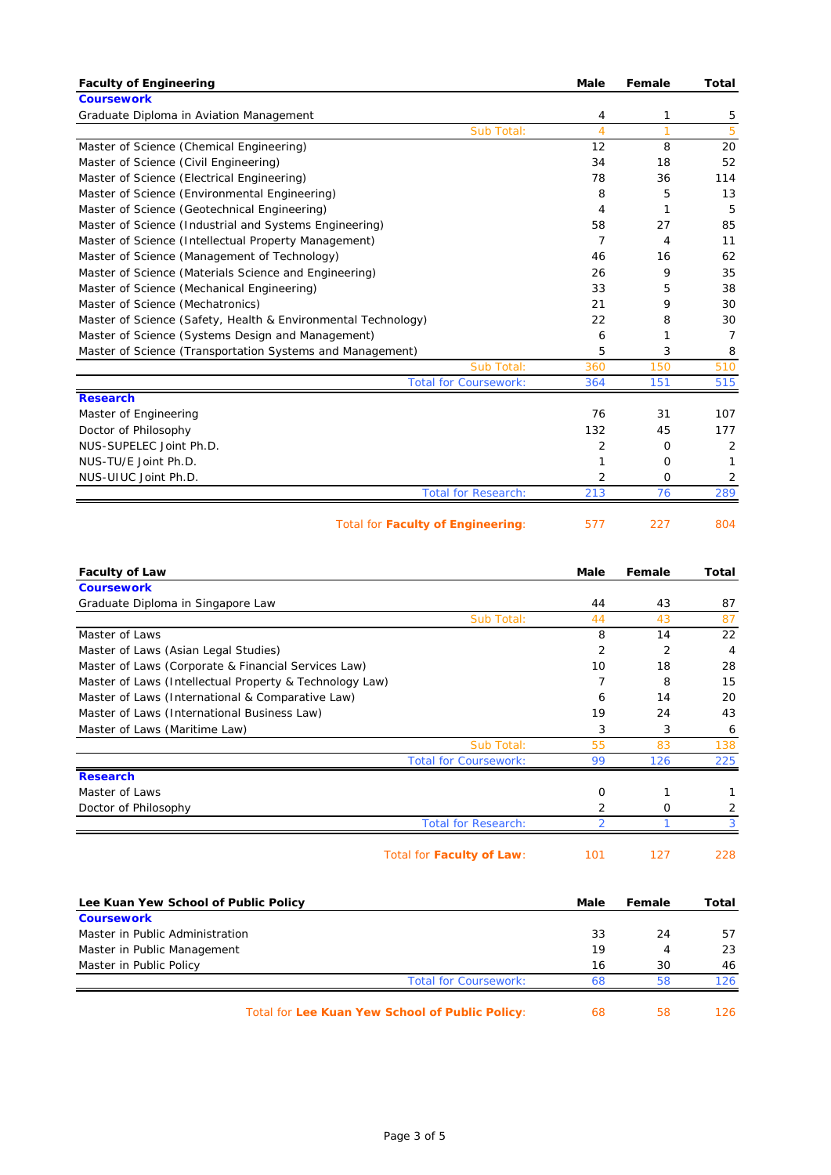| <b>Faculty of Engineering</b>                                 | Male | Female | Total          |
|---------------------------------------------------------------|------|--------|----------------|
| <b>Coursework</b>                                             |      |        |                |
| Graduate Diploma in Aviation Management                       | 4    | 1      | 5              |
| Sub Total:                                                    | 4    | 1      | 5              |
| Master of Science (Chemical Engineering)                      | 12   | 8      | 20             |
| Master of Science (Civil Engineering)                         | 34   | 18     | 52             |
| Master of Science (Electrical Engineering)                    | 78   | 36     | 114            |
| Master of Science (Environmental Engineering)                 | 8    | 5      | 13             |
| Master of Science (Geotechnical Engineering)                  | 4    | 1      | 5              |
| Master of Science (Industrial and Systems Engineering)        | 58   | 27     | 85             |
| Master of Science (Intellectual Property Management)          | 7    | 4      | 11             |
| Master of Science (Management of Technology)                  | 46   | 16     | 62             |
| Master of Science (Materials Science and Engineering)         | 26   | 9      | 35             |
| Master of Science (Mechanical Engineering)                    | 33   | 5      | 38             |
| Master of Science (Mechatronics)                              | 21   | 9      | 30             |
| Master of Science (Safety, Health & Environmental Technology) | 22   | 8      | 30             |
| Master of Science (Systems Design and Management)             | 6    | 1      | $\overline{7}$ |
| Master of Science (Transportation Systems and Management)     | 5    | 3      | 8              |
| Sub Total:                                                    | 360  | 150    | 510            |
| <b>Total for Coursework:</b>                                  | 364  | 151    | 515            |
| <b>Research</b>                                               |      |        |                |
| Master of Engineering                                         | 76   | 31     | 107            |
| Doctor of Philosophy                                          | 132  | 45     | 177            |
| NUS-SUPELEC Joint Ph.D.                                       | 2    | O      | 2              |
| NUS-TU/E Joint Ph.D.                                          | 1    | O      | 1              |
| NUS-UIUC Joint Ph.D.                                          | 2    | O      | 2              |
| <b>Total for Research:</b>                                    | 213  | 76     | 289            |
| <b>Total for Faculty of Engineering:</b>                      | 577  | 227    | 804            |

| <b>Faculty of Law</b>                                   | <b>Male</b>    | Female         | Total          |
|---------------------------------------------------------|----------------|----------------|----------------|
| <b>Coursework</b>                                       |                |                |                |
| Graduate Diploma in Singapore Law                       | 44             | 43             | 87             |
| Sub Total:                                              | 44             | 43             | 87             |
| Master of Laws                                          | 8              | 14             | 22             |
| Master of Laws (Asian Legal Studies)                    | $\overline{2}$ | $\overline{2}$ | $\overline{4}$ |
| Master of Laws (Corporate & Financial Services Law)     | 10             | 18             | 28             |
| Master of Laws (Intellectual Property & Technology Law) | 7              | 8              | 15             |
| Master of Laws (International & Comparative Law)        | 6              | 14             | 20             |
| Master of Laws (International Business Law)             | 19             | 24             | 43             |
| Master of Laws (Maritime Law)                           | 3              | 3              | 6              |
| Sub Total:                                              | 55             | 83             | 138            |
| <b>Total for Coursework:</b>                            | 99             | 126            | 225            |
| <b>Research</b>                                         |                |                |                |
| Master of Laws                                          | 0              | 1              | 1              |
| Doctor of Philosophy                                    | $\overline{2}$ | $\Omega$       | 2              |
| <b>Total for Research:</b>                              | 2              | 1              | 3              |
| Total for Faculty of Law:                               | 101            | 127            | 228            |
| Lee Kuan Yew School of Public Policy                    | Male           | Female         | Total          |
| <b>Coursework</b>                                       |                |                |                |
| Master in Public Administration                         | 33             | 24             | 57             |
| Master in Public Management                             | 19             | 4              | 23             |
| Master in Public Policy                                 | 16             | 30             | 46             |
| <b>Total for Coursework:</b>                            | 68             | 58             | 126            |

Total for **Lee Kuan Yew School of Public Policy**: 68 58 126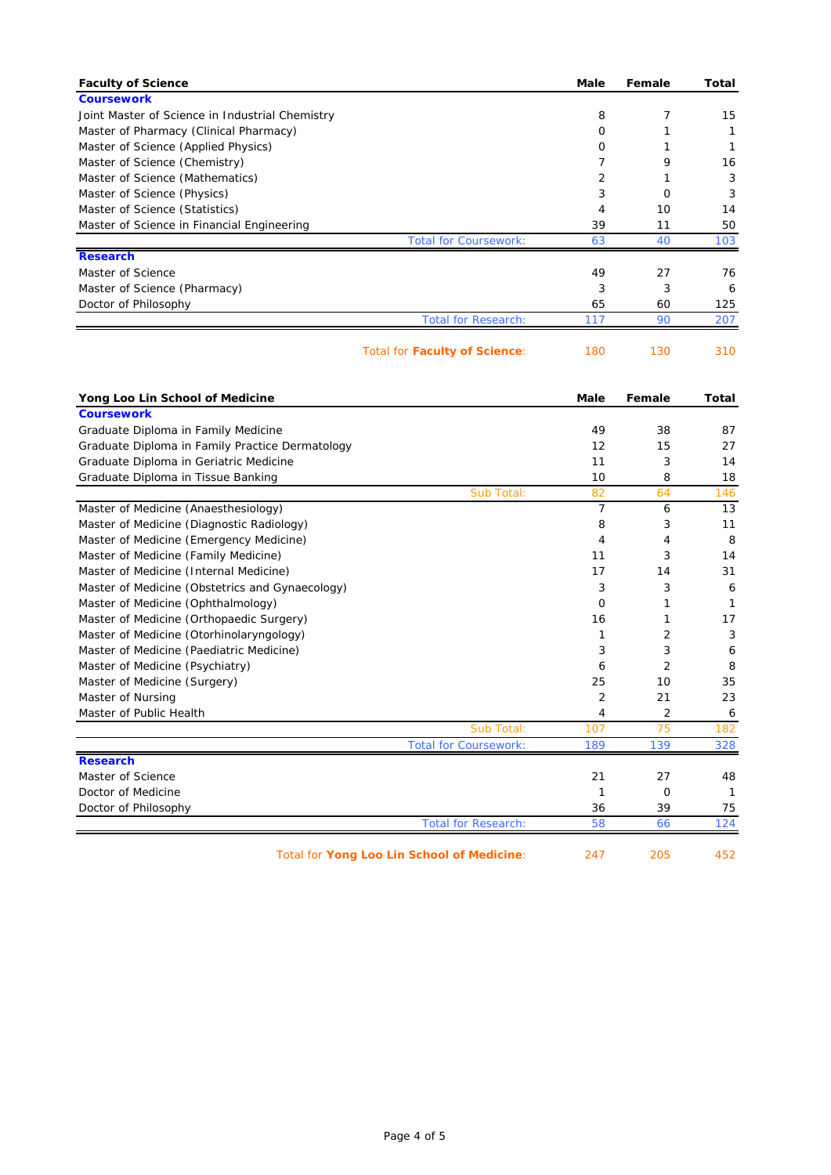| <b>Faculty of Science</b>                       |                                            | Male | Female      | Total        |
|-------------------------------------------------|--------------------------------------------|------|-------------|--------------|
| <b>Coursework</b>                               |                                            |      |             |              |
| Joint Master of Science in Industrial Chemistry |                                            | 8    | 7           | 15           |
| Master of Pharmacy (Clinical Pharmacy)          |                                            | 0    | 1           | 1            |
| Master of Science (Applied Physics)             |                                            | 0    | 1           | $\mathbf{1}$ |
| Master of Science (Chemistry)                   |                                            | 7    | 9           | 16           |
| Master of Science (Mathematics)                 |                                            | 2    | 1           | 3            |
| Master of Science (Physics)                     |                                            | 3    | 0           | 3            |
| Master of Science (Statistics)                  |                                            | 4    | 10          | 14           |
| Master of Science in Financial Engineering      |                                            | 39   | 11          | 50           |
|                                                 | <b>Total for Coursework:</b>               | 63   | 40          | 103          |
| <b>Research</b>                                 |                                            |      |             |              |
| Master of Science                               |                                            | 49   | 27          | 76           |
| Master of Science (Pharmacy)                    |                                            | 3    | 3           | 6            |
| Doctor of Philosophy                            |                                            | 65   | 60          | 125          |
|                                                 | <b>Total for Research:</b>                 | 117  | 90          | 207          |
|                                                 | Total for <b>Faculty of Science:</b>       | 180  | 130         | 310          |
| Yong Loo Lin School of Medicine                 |                                            | Male | Female      | Total        |
| <b>Coursework</b>                               |                                            |      |             |              |
| Graduate Diploma in Family Medicine             |                                            | 49   | 38          | 87           |
| Graduate Diploma in Family Practice Dermatology |                                            | 12   | 15          | 27           |
| Graduate Diploma in Geriatric Medicine          |                                            | 11   | 3           | 14           |
| Graduate Diploma in Tissue Banking              |                                            | 10   | 8           | 18           |
|                                                 | Sub Total:                                 | 82   | 64          | 146          |
| Master of Medicine (Anaesthesiology)            |                                            | 7    | 6           | 13           |
| Master of Medicine (Diagnostic Radiology)       |                                            | 8    | 3           | 11           |
| Master of Medicine (Emergency Medicine)         |                                            | 4    | 4           | 8            |
| Master of Medicine (Family Medicine)            |                                            | 11   | 3           | 14           |
| Master of Medicine (Internal Medicine)          |                                            | 17   | 14          | 31           |
| Master of Medicine (Obstetrics and Gynaecology) |                                            | 3    | 3           | 6            |
| Master of Medicine (Ophthalmology)              |                                            | 0    | 1           | -1           |
| Master of Medicine (Orthopaedic Surgery)        |                                            | 16   | 1           | 17           |
| Master of Medicine (Otorhinolaryngology)        |                                            | 1    | 2           | 3            |
| Master of Medicine (Paediatric Medicine)        |                                            | 3    | 3           | 6            |
| Master of Medicine (Psychiatry)                 |                                            | 6    | 2           | 8            |
| Master of Medicine (Surgery)                    |                                            | 25   | 10          | 35           |
| Master of Nursing                               |                                            | 2    | 21          | 23           |
| Master of Public Health                         |                                            | 4    | 2           | 6            |
|                                                 | Sub Total:                                 | 107  | 75          | 182          |
|                                                 | <b>Total for Coursework:</b>               | 189  | 139         | 328          |
| <b>Research</b>                                 |                                            |      |             |              |
| Master of Science                               |                                            | 21   | 27          | 48           |
| Doctor of Medicine                              |                                            | 1    | $\mathbf 0$ | $\mathbf{1}$ |
| Doctor of Philosophy                            |                                            | 36   | 39          | 75           |
|                                                 | <b>Total for Research:</b>                 | 58   | 66          | 124          |
|                                                 | Total for Yong Loo Lin School of Medicine: | 247  | 205         | 452          |